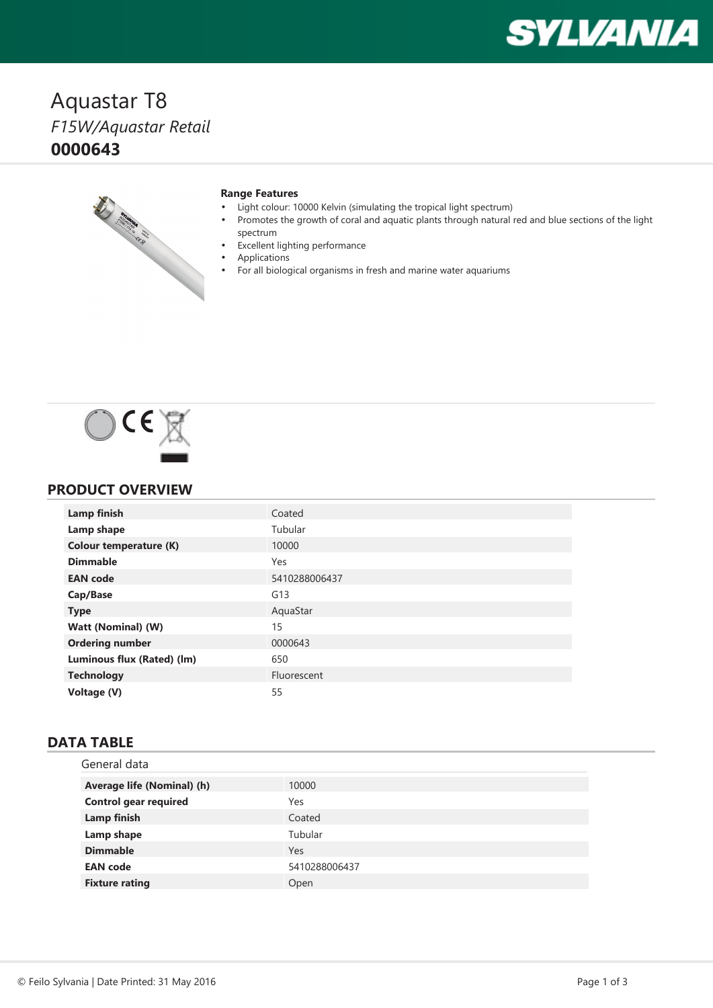# **SYLVANIA**

## Aquastar T8 *F15W/Aquastar Retail* **0000643**



#### **Range Features**

- •Light colour: 10000 Kelvin (simulating the tropical light spectrum)
- • Promotes the growth of coral and aquatic plants through natural red and blue sections of the light spectrum
- •Excellent lighting performance
- • Applications •
	- For all biological organisms in fresh and marine water aquariums



#### **PRODUCT OVERVIEW**

| <b>Lamp finish</b>            | Coated        |
|-------------------------------|---------------|
| Lamp shape                    | Tubular       |
| <b>Colour temperature (K)</b> | 10000         |
| <b>Dimmable</b>               | Yes           |
| <b>EAN</b> code               | 5410288006437 |
| Cap/Base                      | G13           |
| <b>Type</b>                   | AquaStar      |
| Watt (Nominal) (W)            | 15            |
| <b>Ordering number</b>        | 0000643       |
| Luminous flux (Rated) (lm)    | 650           |
| <b>Technology</b>             | Fluorescent   |
| Voltage (V)                   | 55            |

#### **DATA TABLE**

| General data                 |               |
|------------------------------|---------------|
| Average life (Nominal) (h)   | 10000         |
| <b>Control gear required</b> | Yes           |
| Lamp finish                  | Coated        |
| Lamp shape                   | Tubular       |
| <b>Dimmable</b>              | Yes           |
| <b>EAN</b> code              | 5410288006437 |
| <b>Fixture rating</b>        | Open          |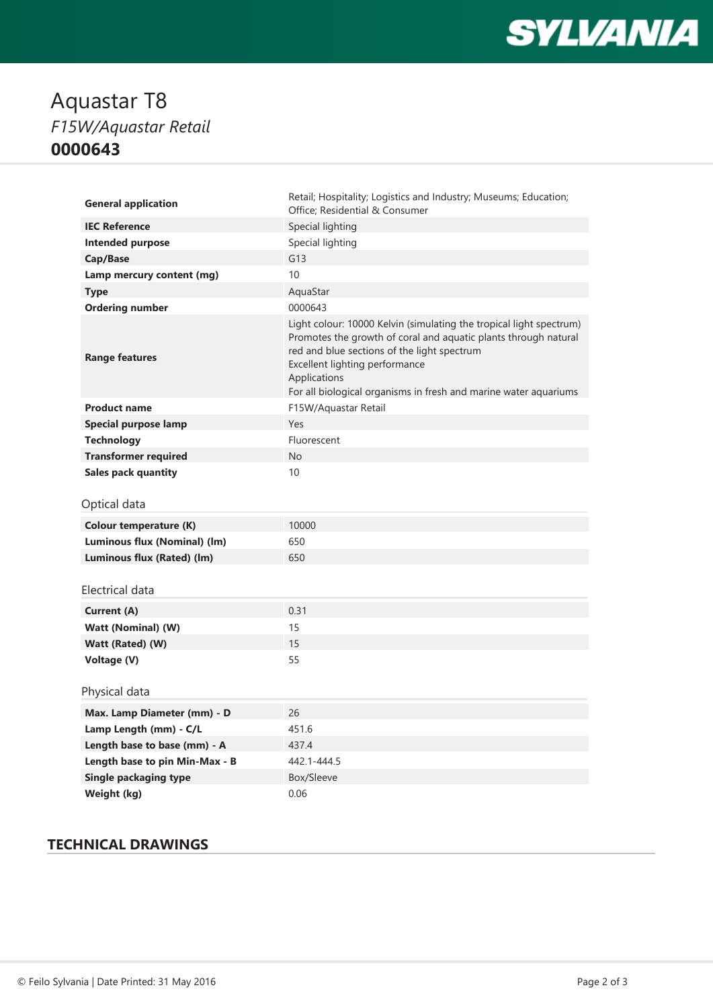

## Aquastar T8 *F15W/Aquastar Retail* **0000643**

| <b>General application</b>     | Retail; Hospitality; Logistics and Industry; Museums; Education;<br>Office; Residential & Consumer                                                                                                                                                                                                          |
|--------------------------------|-------------------------------------------------------------------------------------------------------------------------------------------------------------------------------------------------------------------------------------------------------------------------------------------------------------|
| <b>IEC Reference</b>           | Special lighting                                                                                                                                                                                                                                                                                            |
| <b>Intended purpose</b>        | Special lighting                                                                                                                                                                                                                                                                                            |
| Cap/Base                       | G13                                                                                                                                                                                                                                                                                                         |
| Lamp mercury content (mg)      | 10                                                                                                                                                                                                                                                                                                          |
| <b>Type</b>                    | AquaStar                                                                                                                                                                                                                                                                                                    |
| <b>Ordering number</b>         | 0000643                                                                                                                                                                                                                                                                                                     |
| <b>Range features</b>          | Light colour: 10000 Kelvin (simulating the tropical light spectrum)<br>Promotes the growth of coral and aquatic plants through natural<br>red and blue sections of the light spectrum<br>Excellent lighting performance<br>Applications<br>For all biological organisms in fresh and marine water aquariums |
| <b>Product name</b>            | F15W/Aquastar Retail                                                                                                                                                                                                                                                                                        |
| Special purpose lamp           | Yes                                                                                                                                                                                                                                                                                                         |
| <b>Technology</b>              | Fluorescent                                                                                                                                                                                                                                                                                                 |
| <b>Transformer required</b>    | <b>No</b>                                                                                                                                                                                                                                                                                                   |
| <b>Sales pack quantity</b>     | 10                                                                                                                                                                                                                                                                                                          |
|                                |                                                                                                                                                                                                                                                                                                             |
| Optical data                   |                                                                                                                                                                                                                                                                                                             |
| <b>Colour temperature (K)</b>  | 10000                                                                                                                                                                                                                                                                                                       |
| Luminous flux (Nominal) (lm)   | 650                                                                                                                                                                                                                                                                                                         |
| Luminous flux (Rated) (lm)     | 650                                                                                                                                                                                                                                                                                                         |
| Electrical data                |                                                                                                                                                                                                                                                                                                             |
| <b>Current (A)</b>             | 0.31                                                                                                                                                                                                                                                                                                        |
| Watt (Nominal) (W)             | 15                                                                                                                                                                                                                                                                                                          |
| Watt (Rated) (W)               | 15                                                                                                                                                                                                                                                                                                          |
| Voltage (V)                    | 55                                                                                                                                                                                                                                                                                                          |
| Physical data                  |                                                                                                                                                                                                                                                                                                             |
| Max. Lamp Diameter (mm) - D    | 26                                                                                                                                                                                                                                                                                                          |
| Lamp Length (mm) - C/L         | 451.6                                                                                                                                                                                                                                                                                                       |
| Length base to base (mm) - A   | 437.4                                                                                                                                                                                                                                                                                                       |
| Length base to pin Min-Max - B | 442.1-444.5                                                                                                                                                                                                                                                                                                 |
| <b>Single packaging type</b>   | Box/Sleeve                                                                                                                                                                                                                                                                                                  |

### **TECHNICAL DRAWINGS**